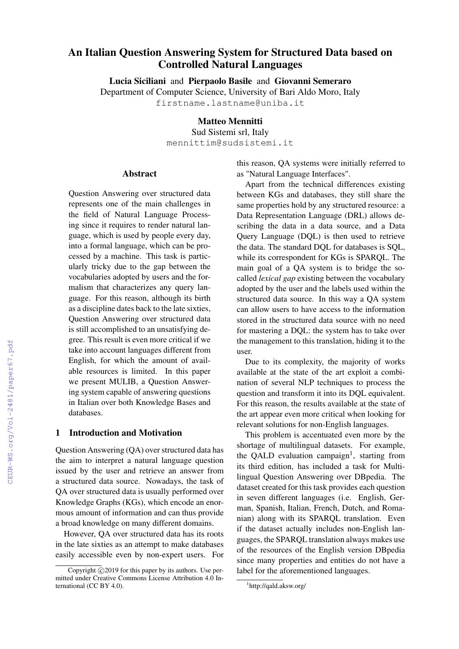# An Italian Question Answering System for Structured Data based on Controlled Natural Languages

Lucia Siciliani and Pierpaolo Basile and Giovanni Semeraro

Department of Computer Science, University of Bari Aldo Moro, Italy

firstname.lastname@uniba.it

# Matteo Mennitti

Sud Sistemi srl, Italy mennittim@sudsistemi.it

#### Abstract

Question Answering over structured data represents one of the main challenges in the field of Natural Language Processing since it requires to render natural language, which is used by people every day, into a formal language, which can be processed by a machine. This task is particularly tricky due to the gap between the vocabularies adopted by users and the formalism that characterizes any query language. For this reason, although its birth as a discipline dates back to the late sixties, Question Answering over structured data is still accomplished to an unsatisfying degree. This result is even more critical if we take into account languages different from English, for which the amount of available resources is limited. In this paper we present MULIB, a Question Answering system capable of answering questions in Italian over both Knowledge Bases and databases.

#### 1 Introduction and Motivation

Question Answering (QA) over structured data has the aim to interpret a natural language question issued by the user and retrieve an answer from a structured data source. Nowadays, the task of QA over structured data is usually performed over Knowledge Graphs (KGs), which encode an enormous amount of information and can thus provide a broad knowledge on many different domains.

However, QA over structured data has its roots in the late sixties as an attempt to make databases easily accessible even by non-expert users. For this reason, QA systems were initially referred to as "Natural Language Interfaces".

Apart from the technical differences existing between KGs and databases, they still share the same properties hold by any structured resource: a Data Representation Language (DRL) allows describing the data in a data source, and a Data Query Language (DQL) is then used to retrieve the data. The standard DQL for databases is SQL, while its correspondent for KGs is SPARQL. The main goal of a QA system is to bridge the socalled *lexical gap* existing between the vocabulary adopted by the user and the labels used within the structured data source. In this way a QA system can allow users to have access to the information stored in the structured data source with no need for mastering a DQL: the system has to take over the management to this translation, hiding it to the user.

Due to its complexity, the majority of works available at the state of the art exploit a combination of several NLP techniques to process the question and transform it into its DQL equivalent. For this reason, the results available at the state of the art appear even more critical when looking for relevant solutions for non-English languages.

This problem is accentuated even more by the shortage of multilingual datasets. For example, the QALD evaluation campaign<sup>1</sup>, starting from its third edition, has included a task for Multilingual Question Answering over DBpedia. The dataset created for this task provides each question in seven different languages (i.e. English, German, Spanish, Italian, French, Dutch, and Romanian) along with its SPARQL translation. Even if the dataset actually includes non-English languages, the SPARQL translation always makes use of the resources of the English version DBpedia since many properties and entities do not have a label for the aforementioned languages.

Copyright  $\odot$  2019 for this paper by its authors. Use permitted under Creative Commons License Attribution 4.0 International (CC BY 4.0).

<sup>1</sup> http://qald.aksw.org/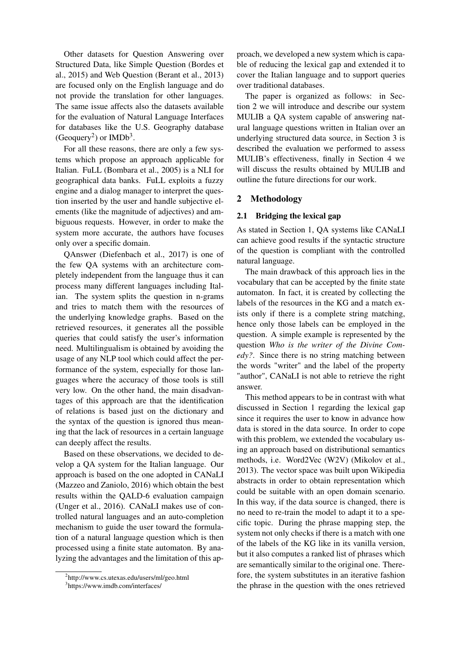Other datasets for Question Answering over Structured Data, like Simple Question (Bordes et al., 2015) and Web Question (Berant et al., 2013) are focused only on the English language and do not provide the translation for other languages. The same issue affects also the datasets available for the evaluation of Natural Language Interfaces for databases like the U.S. Geography database (Geoquery<sup>2</sup>) or IMDb<sup>3</sup>.

For all these reasons, there are only a few systems which propose an approach applicable for Italian. FuLL (Bombara et al., 2005) is a NLI for geographical data banks. FuLL exploits a fuzzy engine and a dialog manager to interpret the question inserted by the user and handle subjective elements (like the magnitude of adjectives) and ambiguous requests. However, in order to make the system more accurate, the authors have focuses only over a specific domain.

QAnswer (Diefenbach et al., 2017) is one of the few QA systems with an architecture completely independent from the language thus it can process many different languages including Italian. The system splits the question in n-grams and tries to match them with the resources of the underlying knowledge graphs. Based on the retrieved resources, it generates all the possible queries that could satisfy the user's information need. Multilingualism is obtained by avoiding the usage of any NLP tool which could affect the performance of the system, especially for those languages where the accuracy of those tools is still very low. On the other hand, the main disadvantages of this approach are that the identification of relations is based just on the dictionary and the syntax of the question is ignored thus meaning that the lack of resources in a certain language can deeply affect the results.

Based on these observations, we decided to develop a QA system for the Italian language. Our approach is based on the one adopted in CANaLI (Mazzeo and Zaniolo, 2016) which obtain the best results within the QALD-6 evaluation campaign (Unger et al., 2016). CANaLI makes use of controlled natural languages and an auto-completion mechanism to guide the user toward the formulation of a natural language question which is then processed using a finite state automaton. By analyzing the advantages and the limitation of this approach, we developed a new system which is capable of reducing the lexical gap and extended it to cover the Italian language and to support queries over traditional databases.

The paper is organized as follows: in Section 2 we will introduce and describe our system MULIB a QA system capable of answering natural language questions written in Italian over an underlying structured data source, in Section 3 is described the evaluation we performed to assess MULIB's effectiveness, finally in Section 4 we will discuss the results obtained by MULIB and outline the future directions for our work.

## 2 Methodology

## 2.1 Bridging the lexical gap

As stated in Section 1, QA systems like CANaLI can achieve good results if the syntactic structure of the question is compliant with the controlled natural language.

The main drawback of this approach lies in the vocabulary that can be accepted by the finite state automaton. In fact, it is created by collecting the labels of the resources in the KG and a match exists only if there is a complete string matching, hence only those labels can be employed in the question. A simple example is represented by the question *Who is the writer of the Divine Comedy?*. Since there is no string matching between the words "writer" and the label of the property "author", CANaLI is not able to retrieve the right answer.

This method appears to be in contrast with what discussed in Section 1 regarding the lexical gap since it requires the user to know in advance how data is stored in the data source. In order to cope with this problem, we extended the vocabulary using an approach based on distributional semantics methods, i.e. Word2Vec (W2V) (Mikolov et al., 2013). The vector space was built upon Wikipedia abstracts in order to obtain representation which could be suitable with an open domain scenario. In this way, if the data source is changed, there is no need to re-train the model to adapt it to a specific topic. During the phrase mapping step, the system not only checks if there is a match with one of the labels of the KG like in its vanilla version, but it also computes a ranked list of phrases which are semantically similar to the original one. Therefore, the system substitutes in an iterative fashion the phrase in the question with the ones retrieved

<sup>2</sup> http://www.cs.utexas.edu/users/ml/geo.html

<sup>3</sup> https://www.imdb.com/interfaces/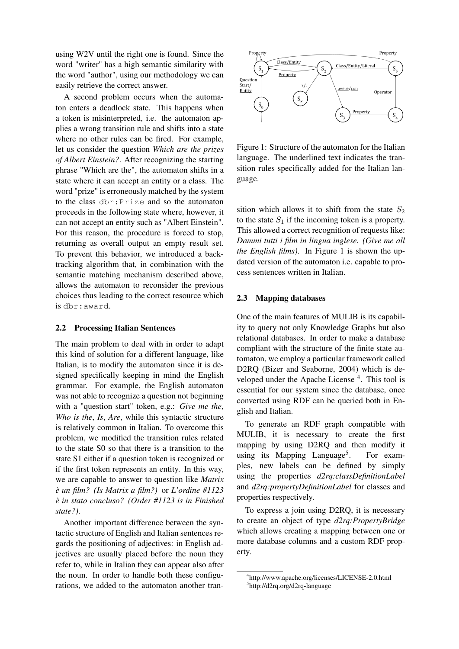using W2V until the right one is found. Since the word "writer" has a high semantic similarity with the word "author", using our methodology we can easily retrieve the correct answer.

A second problem occurs when the automaton enters a deadlock state. This happens when a token is misinterpreted, i.e. the automaton applies a wrong transition rule and shifts into a state where no other rules can be fired. For example, let us consider the question *Which are the prizes of Albert Einstein?*. After recognizing the starting phrase "Which are the", the automaton shifts in a state where it can accept an entity or a class. The word "prize" is erroneously matched by the system to the class dbr:Prize and so the automaton proceeds in the following state where, however, it can not accept an entity such as "Albert Einstein". For this reason, the procedure is forced to stop, returning as overall output an empty result set. To prevent this behavior, we introduced a backtracking algorithm that, in combination with the semantic matching mechanism described above, allows the automaton to reconsider the previous choices thus leading to the correct resource which is dbr:award.

# 2.2 Processing Italian Sentences

The main problem to deal with in order to adapt this kind of solution for a different language, like Italian, is to modify the automaton since it is designed specifically keeping in mind the English grammar. For example, the English automaton was not able to recognize a question not beginning with a "question start" token, e.g.: *Give me the*, *Who is the*, *Is*, *Are*, while this syntactic structure is relatively common in Italian. To overcome this problem, we modified the transition rules related to the state S0 so that there is a transition to the state S1 either if a question token is recognized or if the first token represents an entity. In this way, we are capable to answer to question like *Matrix è un film? (Is Matrix a film?)* or *L'ordine #1123 è in stato concluso? (Order #1123 is in Finished state?)*.

Another important difference between the syntactic structure of English and Italian sentences regards the positioning of adjectives: in English adjectives are usually placed before the noun they refer to, while in Italian they can appear also after the noun. In order to handle both these configurations, we added to the automaton another tran-



Figure 1: Structure of the automaton for the Italian language. The underlined text indicates the transition rules specifically added for the Italian language.

sition which allows it to shift from the state  $S_2$ to the state  $S_1$  if the incoming token is a property. This allowed a correct recognition of requests like: *Dammi tutti i film in lingua inglese. (Give me all the English films*). In Figure 1 is shown the updated version of the automaton i.e. capable to process sentences written in Italian.

#### 2.3 Mapping databases

One of the main features of MULIB is its capability to query not only Knowledge Graphs but also relational databases. In order to make a database compliant with the structure of the finite state automaton, we employ a particular framework called D2RQ (Bizer and Seaborne, 2004) which is developed under the Apache License<sup>4</sup>. This tool is essential for our system since the database, once converted using RDF can be queried both in English and Italian.

To generate an RDF graph compatible with MULIB, it is necessary to create the first mapping by using D2RQ and then modify it using its Mapping Language<sup>5</sup>. . For examples, new labels can be defined by simply using the properties *d2rq:classDefinitionLabel* and *d2rq:propertyDefinitionLabel* for classes and properties respectively.

To express a join using D2RQ, it is necessary to create an object of type *d2rq:PropertyBridge* which allows creating a mapping between one or more database columns and a custom RDF property.

<sup>4</sup> http://www.apache.org/licenses/LICENSE-2.0.html 5 http://d2rq.org/d2rq-language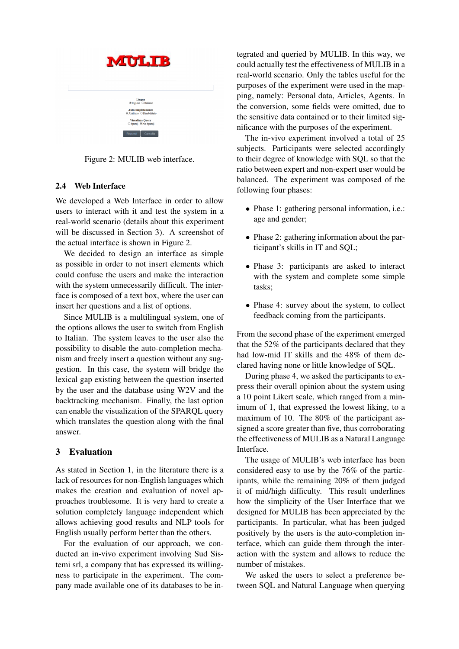Figure 2: MULIB web interface.

## 2.4 Web Interface

We developed a Web Interface in order to allow users to interact with it and test the system in a real-world scenario (details about this experiment will be discussed in Section 3). A screenshot of the actual interface is shown in Figure 2.

We decided to design an interface as simple as possible in order to not insert elements which could confuse the users and make the interaction with the system unnecessarily difficult. The interface is composed of a text box, where the user can insert her questions and a list of options.

Since MULIB is a multilingual system, one of the options allows the user to switch from English to Italian. The system leaves to the user also the possibility to disable the auto-completion mechanism and freely insert a question without any suggestion. In this case, the system will bridge the lexical gap existing between the question inserted by the user and the database using W2V and the backtracking mechanism. Finally, the last option can enable the visualization of the SPARQL query which translates the question along with the final answer.

# 3 Evaluation

As stated in Section 1, in the literature there is a lack of resources for non-English languages which makes the creation and evaluation of novel approaches troublesome. It is very hard to create a solution completely language independent which allows achieving good results and NLP tools for English usually perform better than the others.

For the evaluation of our approach, we conducted an in-vivo experiment involving Sud Sistemi srl, a company that has expressed its willingness to participate in the experiment. The company made available one of its databases to be integrated and queried by MULIB. In this way, we could actually test the effectiveness of MULIB in a real-world scenario. Only the tables useful for the purposes of the experiment were used in the mapping, namely: Personal data, Articles, Agents. In the conversion, some fields were omitted, due to the sensitive data contained or to their limited significance with the purposes of the experiment.

The in-vivo experiment involved a total of 25 subjects. Participants were selected accordingly to their degree of knowledge with SQL so that the ratio between expert and non-expert user would be balanced. The experiment was composed of the following four phases:

- Phase 1: gathering personal information, i.e.: age and gender;
- Phase 2: gathering information about the participant's skills in IT and SQL;
- Phase 3: participants are asked to interact with the system and complete some simple tasks;
- Phase 4: survey about the system, to collect feedback coming from the participants.

From the second phase of the experiment emerged that the 52% of the participants declared that they had low-mid IT skills and the 48% of them declared having none or little knowledge of SQL.

During phase 4, we asked the participants to express their overall opinion about the system using a 10 point Likert scale, which ranged from a minimum of 1, that expressed the lowest liking, to a maximum of 10. The 80% of the participant assigned a score greater than five, thus corroborating the effectiveness of MULIB as a Natural Language Interface.

The usage of MULIB's web interface has been considered easy to use by the 76% of the participants, while the remaining 20% of them judged it of mid/high difficulty. This result underlines how the simplicity of the User Interface that we designed for MULIB has been appreciated by the participants. In particular, what has been judged positively by the users is the auto-completion interface, which can guide them through the interaction with the system and allows to reduce the number of mistakes.

We asked the users to select a preference between SQL and Natural Language when querying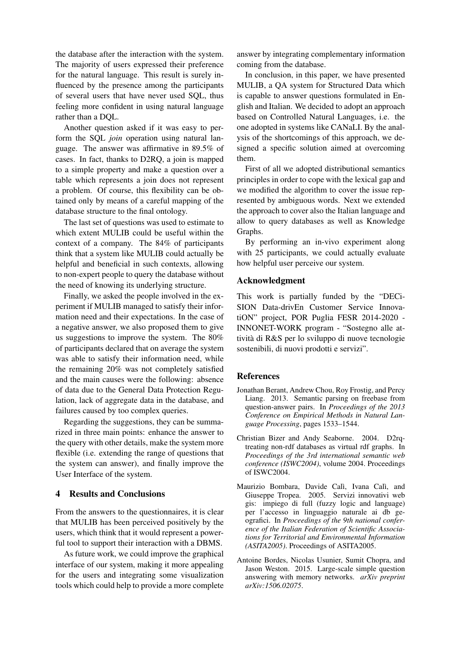the database after the interaction with the system. The majority of users expressed their preference for the natural language. This result is surely influenced by the presence among the participants of several users that have never used SQL, thus feeling more confident in using natural language rather than a DQL.

Another question asked if it was easy to perform the SQL *join* operation using natural language. The answer was affirmative in 89.5% of cases. In fact, thanks to D2RQ, a join is mapped to a simple property and make a question over a table which represents a join does not represent a problem. Of course, this flexibility can be obtained only by means of a careful mapping of the database structure to the final ontology.

The last set of questions was used to estimate to which extent MULIB could be useful within the context of a company. The 84% of participants think that a system like MULIB could actually be helpful and beneficial in such contexts, allowing to non-expert people to query the database without the need of knowing its underlying structure.

Finally, we asked the people involved in the experiment if MULIB managed to satisfy their information need and their expectations. In the case of a negative answer, we also proposed them to give us suggestions to improve the system. The 80% of participants declared that on average the system was able to satisfy their information need, while the remaining 20% was not completely satisfied and the main causes were the following: absence of data due to the General Data Protection Regulation, lack of aggregate data in the database, and failures caused by too complex queries.

Regarding the suggestions, they can be summarized in three main points: enhance the answer to the query with other details, make the system more flexible (i.e. extending the range of questions that the system can answer), and finally improve the User Interface of the system.

## 4 Results and Conclusions

From the answers to the questionnaires, it is clear that MULIB has been perceived positively by the users, which think that it would represent a powerful tool to support their interaction with a DBMS.

As future work, we could improve the graphical interface of our system, making it more appealing for the users and integrating some visualization tools which could help to provide a more complete

answer by integrating complementary information coming from the database.

In conclusion, in this paper, we have presented MULIB, a QA system for Structured Data which is capable to answer questions formulated in English and Italian. We decided to adopt an approach based on Controlled Natural Languages, i.e. the one adopted in systems like CANaLI. By the analysis of the shortcomings of this approach, we designed a specific solution aimed at overcoming them.

First of all we adopted distributional semantics principles in order to cope with the lexical gap and we modified the algorithm to cover the issue represented by ambiguous words. Next we extended the approach to cover also the Italian language and allow to query databases as well as Knowledge Graphs.

By performing an in-vivo experiment along with 25 participants, we could actually evaluate how helpful user perceive our system.

#### Acknowledgment

This work is partially funded by the "DECi-SION Data-drivEn Customer Service InnovatiON" project, POR Puglia FESR 2014-2020 - INNONET-WORK program - "Sostegno alle attività di R&S per lo sviluppo di nuove tecnologie sostenibili, di nuovi prodotti e servizi".

## **References**

- Jonathan Berant, Andrew Chou, Roy Frostig, and Percy Liang. 2013. Semantic parsing on freebase from question-answer pairs. In *Proceedings of the 2013 Conference on Empirical Methods in Natural Language Processing*, pages 1533–1544.
- Christian Bizer and Andy Seaborne. 2004. D2rqtreating non-rdf databases as virtual rdf graphs. In *Proceedings of the 3rd international semantic web conference (ISWC2004)*, volume 2004. Proceedings of ISWC2004.
- Maurizio Bombara, Davide Calì, Ivana Calì, and Giuseppe Tropea. 2005. Servizi innovativi web gis: impiego di full (fuzzy logic and language) per l'accesso in linguaggio naturale ai db geografici. In *Proceedings of the 9th national conference of the Italian Federation of Scientific Associations for Territorial and Environmental Information (ASITA2005)*. Proceedings of ASITA2005.
- Antoine Bordes, Nicolas Usunier, Sumit Chopra, and Jason Weston. 2015. Large-scale simple question answering with memory networks. *arXiv preprint arXiv:1506.02075*.